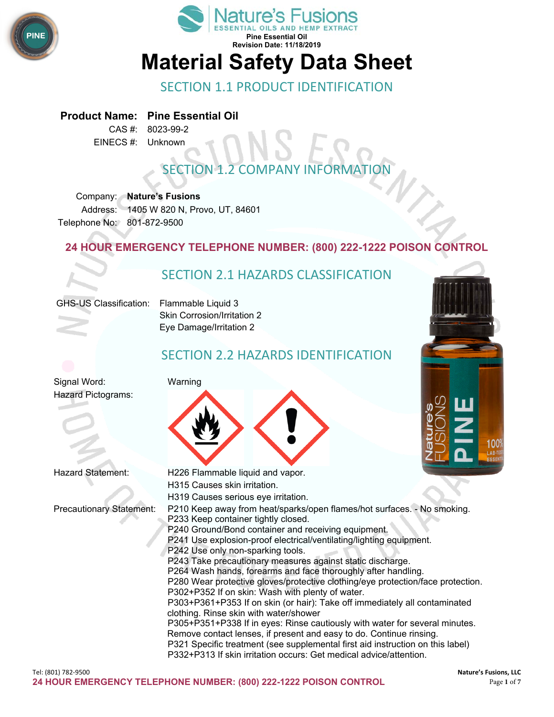



### SECTION 1.1 PRODUCT IDENTIFICATION

#### **Product Name: Pine Essential Oil**

CAS #: 8023-99-2 EINECS #: Unknown

# **SECTION 1.2 COMPANY INFORMAT**

Company: **Nature's Fusions** Address: 1405 W 820 N, Provo, UT, 84601 Telephone No: 801-872-9500

#### **24 HOUR EMERGENCY TELEPHONE NUMBER: (800) 222-1222 POISON CONTROL**

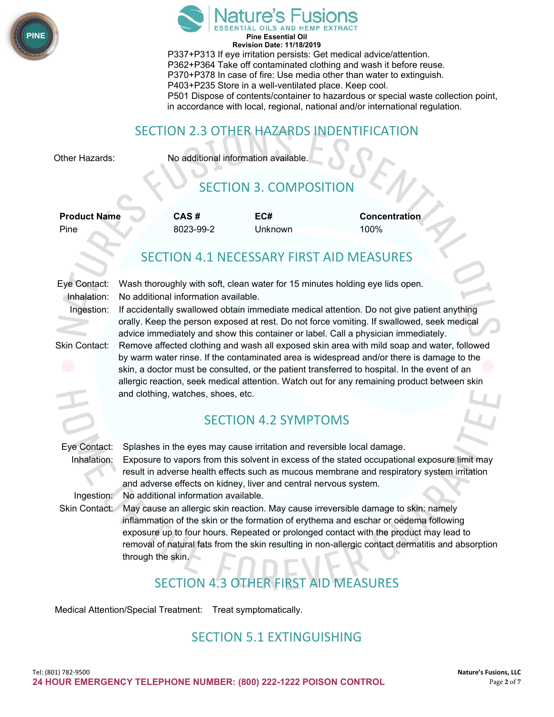![](_page_1_Picture_0.jpeg)

![](_page_1_Picture_1.jpeg)

P337+P313 If eye irritation persists: Get medical advice/attention. P362+P364 Take off contaminated clothing and wash it before reuse. P370+P378 In case of fire: Use media other than water to extinguish. P403+P235 Store in a well-ventilated place. Keep cool. P501 Dispose of contents/container to hazardous or special waste collection point, in accordance with local, regional, national and/or international regulation.

### SECTION 2.3 OTHER HAZARDS INDENTIFICATION

Other Hazards: No additional information available.

# SECTION 3. COMPOSITION

| <b>Product Name</b> | CAS#      | EC#     | <b>Concentration</b> |
|---------------------|-----------|---------|----------------------|
| Pine                | 8023-99-2 | Unknown | 100%                 |

### SECTION 4.1 NECESSARY FIRST AID MEASURES

Eye Contact: Wash thoroughly with soft, clean water for 15 minutes holding eye lids open. Inhalation: No additional information available.

Ingestion: If accidentally swallowed obtain immediate medical attention. Do not give patient anything orally. Keep the person exposed at rest. Do not force vomiting. If swallowed, seek medical advice immediately and show this container or label. Call a physician immediately.

Skin Contact: Remove affected clothing and wash all exposed skin area with mild soap and water, followed by warm water rinse. If the contaminated area is widespread and/or there is damage to the skin, a doctor must be consulted, or the patient transferred to hospital. In the event of an allergic reaction, seek medical attention. Watch out for any remaining product between skin and clothing, watches, shoes, etc.

### SECTION 4.2 SYMPTOMS

Eye Contact: Splashes in the eyes may cause irritation and reversible local damage.

Inhalation: Exposure to vapors from this solvent in excess of the stated occupational exposure limit may result in adverse health effects such as mucous membrane and respiratory system irritation and adverse effects on kidney, liver and central nervous system.

Ingestion: No additional information available.

Skin Contact: May cause an allergic skin reaction. May cause irreversible damage to skin: namely inflammation of the skin or the formation of erythema and eschar or oedema following exposure up to four hours. Repeated or prolonged contact with the product may lead to removal of natural fats from the skin resulting in non-allergic contact dermatitis and absorption through the skin.

# SECTION 4.3 OTHER FIRST AID MEASURES

Medical Attention/Special Treatment: Treat symptomatically.

#### SECTION 5.1 EXTINGUISHING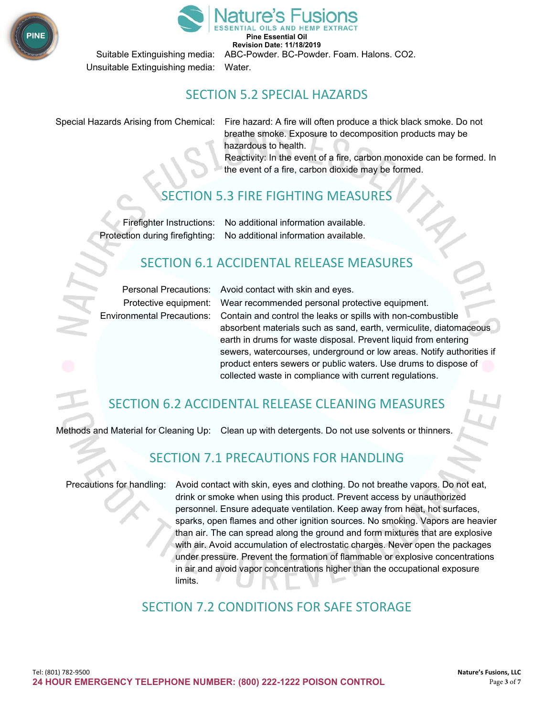![](_page_2_Picture_0.jpeg)

![](_page_2_Picture_1.jpeg)

Suitable Extinguishing media: ABC-Powder. BC-Powder. Foam. Halons. CO2.

Unsuitable Extinguishing media: Water.

#### SECTION 5.2 SPECIAL HAZARDS

Special Hazards Arising from Chemical: Fire hazard: A fire will often produce a thick black smoke. Do not breathe smoke. Exposure to decomposition products may be hazardous to health.

Reactivity: In the event of a fire, carbon monoxide can be formed. In the event of a fire, carbon dioxide may be formed.

### SECTION 5.3 FIRE FIGHTING MEASURE

Firefighter Instructions: No additional information available. Protection during firefighting: No additional information available.

### SECTION 6.1 ACCIDENTAL RELEASE MEASURES

Personal Precautions: Avoid contact with skin and eyes.

Protective equipment: Wear recommended personal protective equipment. Environmental Precautions: Contain and control the leaks or spills with non-combustible absorbent materials such as sand, earth, vermiculite, diatomaceous earth in drums for waste disposal. Prevent liquid from entering sewers, watercourses, underground or low areas. Notify authorities if product enters sewers or public waters. Use drums to dispose of collected waste in compliance with current regulations.

## SECTION 6.2 ACCIDENTAL RELEASE CLEANING MEASURES

Methods and Material for Cleaning Up: Clean up with detergents. Do not use solvents or thinners.

### SECTION 7.1 PRECAUTIONS FOR HANDLING

Precautions for handling: Avoid contact with skin, eyes and clothing. Do not breathe vapors. Do not eat, drink or smoke when using this product. Prevent access by unauthorized personnel. Ensure adequate ventilation. Keep away from heat, hot surfaces, sparks, open flames and other ignition sources. No smoking. Vapors are heavier than air. The can spread along the ground and form mixtures that are explosive with air. Avoid accumulation of electrostatic charges. Never open the packages under pressure. Prevent the formation of flammable or explosive concentrations in air and avoid vapor concentrations higher than the occupational exposure limits.

### SECTION 7.2 CONDITIONS FOR SAFE STORAGE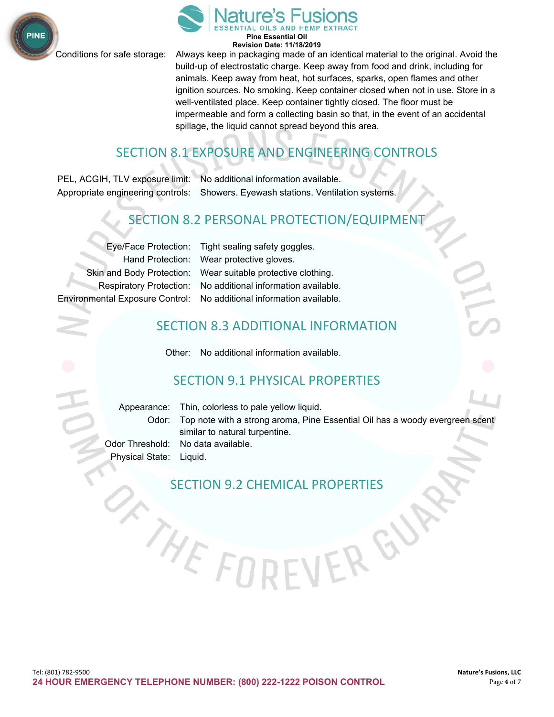![](_page_3_Picture_0.jpeg)

![](_page_3_Picture_2.jpeg)

Conditions for safe storage: Always keep in packaging made of an identical material to the original. Avoid the build-up of electrostatic charge. Keep away from food and drink, including for animals. Keep away from heat, hot surfaces, sparks, open flames and other ignition sources. No smoking. Keep container closed when not in use. Store in a well-ventilated place. Keep container tightly closed. The floor must be impermeable and form a collecting basin so that, in the event of an accidental spillage, the liquid cannot spread beyond this area.

# SECTION 8.1 EXPOSURE AND ENGINEERING CONTROLS

PEL, ACGIH, TLV exposure limit: No additional information available. Appropriate engineering controls: Showers. Eyewash stations. Ventilation systems.

## SECTION 8.2 PERSONAL PROTECTION/EQUIPMENT

Environmental Exposure Control: No additional information available.

Eye/Face Protection: Tight sealing safety goggles. Hand Protection: Wear protective gloves. Skin and Body Protection: Wear suitable protective clothing. Respiratory Protection: No additional information available.

### SECTION 8.3 ADDITIONAL INFORMATION

Other: No additional information available.

### SECTION 9.1 PHYSICAL PROPERTIES

|                         | Appearance: Thin, colorless to pale yellow liquid.                                 |
|-------------------------|------------------------------------------------------------------------------------|
|                         | Odor: Top note with a strong aroma, Pine Essential Oil has a woody evergreen scent |
|                         | similar to natural turpentine.                                                     |
|                         | Odor Threshold: No data available.                                                 |
| Physical State: Liquid. |                                                                                    |

ERG

SECTION 9.2 CHEMICAL PROPERTIES

THEFI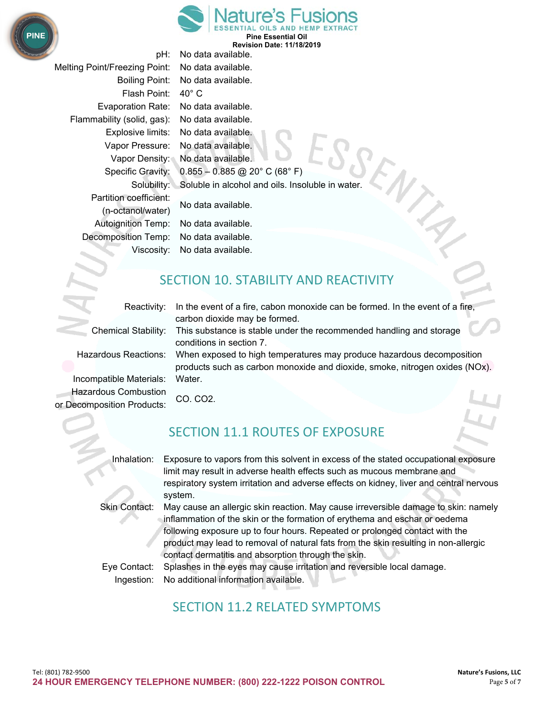![](_page_4_Picture_0.jpeg)

Melting Point/Freezing Point: No data available. Boiling Point: No data available. Flash Point: 40° C Evaporation Rate: No data available. Flammability (solid, gas): No data available. Explosive limits: No data available. Vapor Pressure: No data available. Vapor Density: No data available. Partition coefficient: No data available. (n-octanol/water) Autoignition Temp: No data available. Decomposition Temp: No data available. Viscosity: No data available.

Specific Gravity:  $0.855 - 0.885$  @ 20° C (68° F) Solubility: Soluble in alcohol and oils. Insoluble in water.

pH: No data available.

### SECTION 10. STABILITY AND REACTIVITY

Reactivity: In the event of a fire, cabon monoxide can be formed. In the event of a fire,

carbon dioxide may be formed. Chemical Stability: This substance is stable under the recommended handling and storage conditions in section 7.

products such as carbon monoxide and dioxide, smoke, nitrogen oxides (NOx).

Hazardous Reactions: When exposed to high temperatures may produce hazardous decomposition

Incompatible Materials: Water. Hazardous Combustion CO. CO2. or Decomposition Products:

### SECTION 11.1 ROUTES OF EXPOSURE

Inhalation: Exposure to vapors from this solvent in excess of the stated occupational exposure limit may result in adverse health effects such as mucous membrane and respiratory system irritation and adverse effects on kidney, liver and central nervous system.

Skin Contact: May cause an allergic skin reaction. May cause irreversible damage to skin: namely inflammation of the skin or the formation of erythema and eschar or oedema following exposure up to four hours. Repeated or prolonged contact with the product may lead to removal of natural fats from the skin resulting in non-allergic contact dermatitis and absorption through the skin.

Eye Contact: Splashes in the eyes may cause irritation and reversible local damage. Ingestion: No additional information available.

# SECTION 11.2 RELATED SYMPTOMS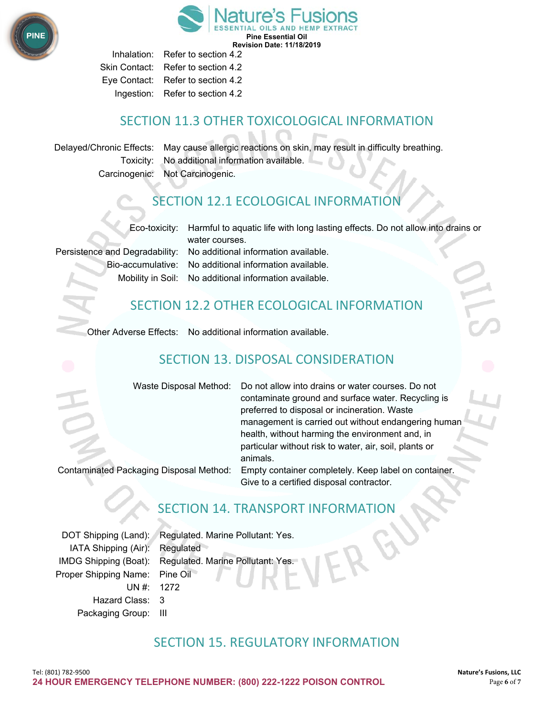![](_page_5_Picture_0.jpeg)

Inhalation: Refer to section 4.2 Skin Contact: Refer to section 4.2 Eye Contact: Refer to section 4.2 Ingestion: Refer to section 4.2

### SECTION 11.3 OTHER TOXICOLOGICAL INFORMATION

Delayed/Chronic Effects: May cause allergic reactions on skin, may result in difficulty breathing. Toxicity: No additional information available. Carcinogenic: Not Carcinogenic.

## SECTION 12.1 ECOLOGICAL INFORMATION

Eco-toxicity: Harmful to aquatic life with long lasting effects. Do not allow into drains or

water courses. Persistence and Degradability: No additional information available. Bio-accumulative: No additional information available. Mobility in Soil: No additional information available.

### SECTION 12.2 OTHER ECOLOGICAL INFORMATION

Other Adverse Effects: No additional information available.

# SECTION 13. DISPOSAL CONSIDERATION

| Waste Disposal Method:  Do not allow into drains or water courses. Do not    |  |
|------------------------------------------------------------------------------|--|
| contaminate ground and surface water. Recycling is                           |  |
| preferred to disposal or incineration. Waste                                 |  |
| management is carried out without endangering human                          |  |
| health, without harming the environment and, in                              |  |
| particular without risk to water, air, soil, plants or                       |  |
| animals.                                                                     |  |
| kaging Disposal Method: Empty container completely. Keep label on container. |  |

Contaminated Pack

Give to a certified disposal contractor.

# SECTION 14. TRANSPORT INFORMATION

DOT Shipping (Land): Regulated. Marine Pollutant: Yes. IATA Shipping (Air): Regulated IMDG Shipping (Boat): Regulated. Marine Pollutant: Yes. Proper Shipping Name: Pine Oil UN #: 1272 Hazard Class: 3 Packaging Group: III

### SECTION 15. REGULATORY INFORMATION